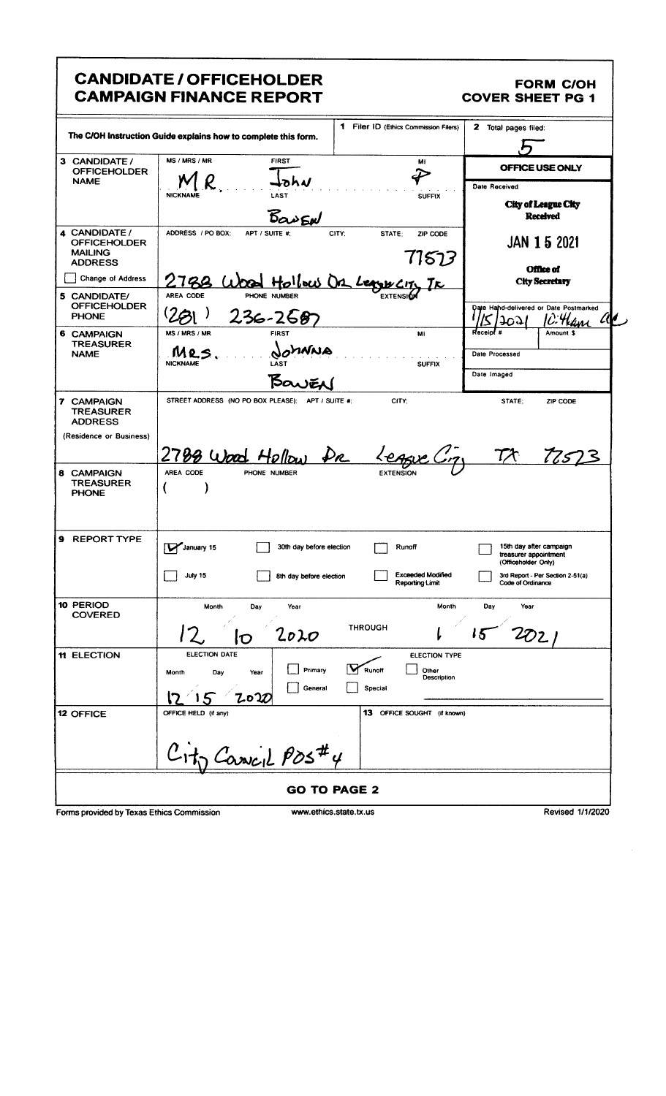|                                                                          | <b>CANDIDATE / OFFICEHOLDER</b><br><b>CAMPAIGN FINANCE REPORT</b>                                | <b>FORM C/OH</b><br><b>COVER SHEET PG 1</b>                                     |
|--------------------------------------------------------------------------|--------------------------------------------------------------------------------------------------|---------------------------------------------------------------------------------|
| The C/OH instruction Guide explains how to complete this form.           | 2 Total pages filed:                                                                             |                                                                                 |
| 3 CANDIDATE /<br><b>OFFICEHOLDER</b>                                     | MS / MRS / MR<br><b>FIRST</b><br>MI                                                              | OFFICE USE ONLY                                                                 |
| <b>NAME</b>                                                              | LAST<br><b>NICKNAME</b><br><b>SUFFIX</b><br>BanEN                                                | Date Received<br><b>City of League City</b><br><b>Received</b>                  |
| 4 CANDIDATE /<br><b>OFFICEHOLDER</b><br><b>MAILING</b><br><b>ADDRESS</b> | ADDRESS / PO BOX:<br>APT / SUITE #:<br>CITY:<br>STATE:<br>ZIP CODE<br>71573                      | <b>JAN 1 5 2021</b><br>Office of                                                |
| Change of Address                                                        | Hollow On Leave City                                                                             | <b>City Secretary</b>                                                           |
| 5 CANDIDATE/<br><b>OFFICEHOLDER</b><br><b>PHONE</b>                      | <b>EXTENSIO</b><br>AREA CODE<br>PHONE NUMBER<br>$236 - 2587$                                     | Date Hahd-delivered or Date Postmarked<br>C: Hane al<br>ᡆᢙ                      |
| 6 CAMPAIGN<br><b>TREASURER</b><br><b>NAME</b>                            | MS / MRS / MR<br><b>FIRST</b><br>ME<br>MNNA<br>MRS.<br><b>NICKNAME</b><br>LAST<br><b>SUFFIX</b>  | Receipl <sup>#</sup><br>Amount \$<br>Date Processed                             |
|                                                                          | Bawer                                                                                            | Date Imaged                                                                     |
| 7 CAMPAIGN<br><b>TREASURER</b><br><b>ADDRESS</b>                         | STREET ADDRESS (NO PO BOX PLEASE); APT / SUITE #;<br>CITY:                                       | STATE:<br>ZIP CODE                                                              |
| (Residence or Business)<br>8 CAMPAIGN                                    | 2788 Wood Hellow<br>Dr League City<br>AREA CODE<br>PHONE NUMBER                                  | $7\lambda$<br>77523                                                             |
| <b>TREASURER</b><br><b>PHONE</b>                                         |                                                                                                  |                                                                                 |
| <b>9 REPORT TYPE</b>                                                     | January 15<br>30th day before election<br>Runoff                                                 | 15th day after campaign<br>ىــا<br>treasurer appointment<br>(Officeholder Only) |
|                                                                          | <b>Exceeded Modified</b><br><b>July 15</b><br>8th day before election<br>Reporting Limit         | 3rd Report - Per Section 2-51(a)<br>Code of Ordinance                           |
| 10 PERIOD<br><b>COVERED</b>                                              | Month<br>Month<br>Day<br>Year<br><b>THROUGH</b>                                                  | Day<br>Year                                                                     |
| <b>11 ELECTION</b>                                                       | 2020<br>$\mathbf D$<br>ELECTION DATE<br><b>ELECTION TYPE</b>                                     |                                                                                 |
|                                                                          | Primary<br>Runoff<br>Other<br>Day<br>Month<br>Year<br>Description<br>General<br>Special<br>Zo IO |                                                                                 |
| <b>12 OFFICE</b>                                                         | OFFICE HELD (if any)<br>13 OFFICE SOUGHT (if known)                                              |                                                                                 |
|                                                                          | $H_0$ Cassicil POS#4                                                                             |                                                                                 |
|                                                                          | <b>GO TO PAGE 2</b>                                                                              |                                                                                 |

Forms provided by Texas Ethics Commission

www.ethics.state.tx.us

Revised 1/1/2020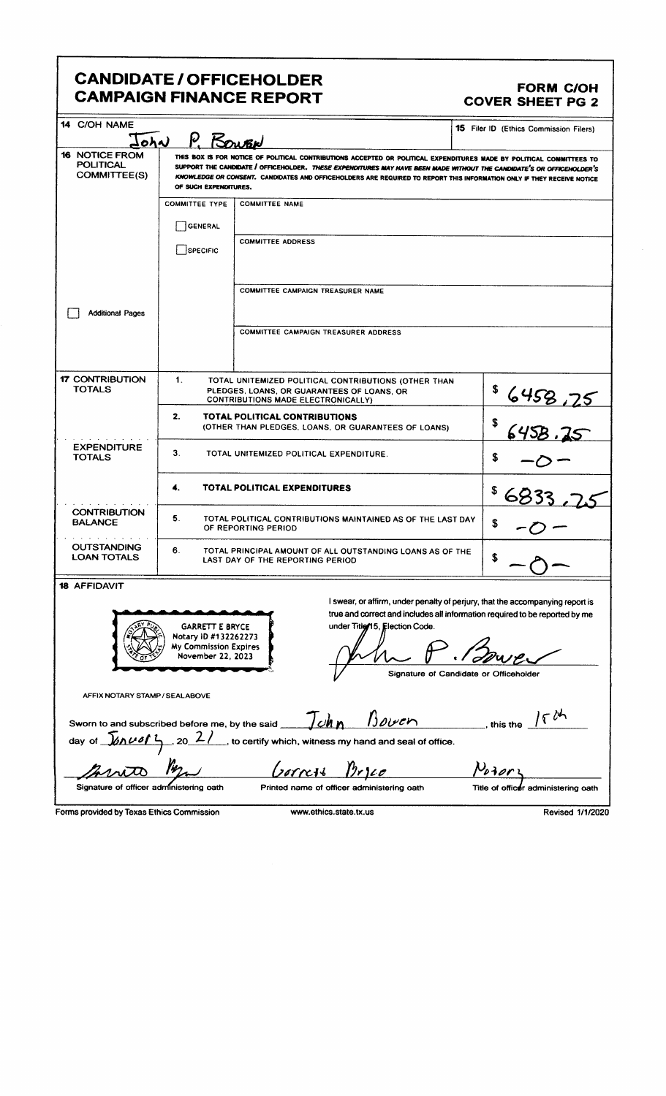## CANDIDATE / OFFICEHOLDER<br>CAMPAIGN FINANCE REPORT COVER SHEET PG 2 **CAMPAIGN FINANCE REPORT**

| 14 C/OH NAME                                                                                                                                                                                                                                                                                                                                                                                                                                                                             |                                                                                                                                                            |                                                                                                                                                                                                                                                       | 15 Filer ID (Ethics Commission Filers) |  |  |  |
|------------------------------------------------------------------------------------------------------------------------------------------------------------------------------------------------------------------------------------------------------------------------------------------------------------------------------------------------------------------------------------------------------------------------------------------------------------------------------------------|------------------------------------------------------------------------------------------------------------------------------------------------------------|-------------------------------------------------------------------------------------------------------------------------------------------------------------------------------------------------------------------------------------------------------|----------------------------------------|--|--|--|
| P. Kowen<br>John<br><b>16 NOTICE FROM</b><br>THIS BOX IS FOR NOTICE OF POLITICAL CONTRIBUTIONS ACCEPTED OR POLITICAL EXPENDITURES MADE BY POLITICAL COMMITTEES TO<br><b>POLITICAL</b><br>SUPPORT THE CANDIDATE / OFFICEHOLDER. THESE EXPENDITURES MAY HAVE BEEN MADE WITHOUT THE CANDIDATE'S OR OFFICEHOLDER'S<br><b>COMMITTEE(S)</b><br>KNOWLEDGE OR CONSENT. CANDIDATES AND OFFICEHOLDERS ARE REQUIRED TO REPORT THIS INFORMATION ONLY IF THEY RECEIVE NOTICE<br>OF SUCH EXPENDITURES. |                                                                                                                                                            |                                                                                                                                                                                                                                                       |                                        |  |  |  |
|                                                                                                                                                                                                                                                                                                                                                                                                                                                                                          | <b>COMMITTEE TYPE</b>                                                                                                                                      | <b>COMMITTEE NAME</b>                                                                                                                                                                                                                                 |                                        |  |  |  |
|                                                                                                                                                                                                                                                                                                                                                                                                                                                                                          | <b>GENERAL</b>                                                                                                                                             |                                                                                                                                                                                                                                                       |                                        |  |  |  |
|                                                                                                                                                                                                                                                                                                                                                                                                                                                                                          | SPECIFIC                                                                                                                                                   | <b>COMMITTEE ADDRESS</b>                                                                                                                                                                                                                              |                                        |  |  |  |
| <b>Additional Pages</b>                                                                                                                                                                                                                                                                                                                                                                                                                                                                  |                                                                                                                                                            | <b>COMMITTEE CAMPAIGN TREASURER NAME</b>                                                                                                                                                                                                              |                                        |  |  |  |
|                                                                                                                                                                                                                                                                                                                                                                                                                                                                                          |                                                                                                                                                            | COMMITTEE CAMPAIGN TREASURER ADDRESS                                                                                                                                                                                                                  |                                        |  |  |  |
| <b>17 CONTRIBUTION</b><br><b>TOTALS</b>                                                                                                                                                                                                                                                                                                                                                                                                                                                  | 1 <sub>1</sub><br>TOTAL UNITEMIZED POLITICAL CONTRIBUTIONS (OTHER THAN<br>PLEDGES, LOANS, OR GUARANTEES OF LOANS, OR<br>CONTRIBUTIONS MADE ELECTRONICALLY) | \$<br>6458,75                                                                                                                                                                                                                                         |                                        |  |  |  |
|                                                                                                                                                                                                                                                                                                                                                                                                                                                                                          | 2.<br>TOTAL POLITICAL CONTRIBUTIONS<br>(OTHER THAN PLEDGES, LOANS, OR GUARANTEES OF LOANS)                                                                 | \$<br>6458.IS                                                                                                                                                                                                                                         |                                        |  |  |  |
| <b>EXPENDITURE</b><br><b>TOTALS</b>                                                                                                                                                                                                                                                                                                                                                                                                                                                      | З.<br>TOTAL UNITEMIZED POLITICAL EXPENDITURE.                                                                                                              | S                                                                                                                                                                                                                                                     |                                        |  |  |  |
| <b>TOTAL POLITICAL EXPENDITURES</b><br>4.                                                                                                                                                                                                                                                                                                                                                                                                                                                |                                                                                                                                                            |                                                                                                                                                                                                                                                       |                                        |  |  |  |
| <b>CONTRIBUTION</b><br><b>BALANCE</b>                                                                                                                                                                                                                                                                                                                                                                                                                                                    | 5.<br>TOTAL POLITICAL CONTRIBUTIONS MAINTAINED AS OF THE LAST DAY<br>S<br>OF REPORTING PERIOD                                                              |                                                                                                                                                                                                                                                       |                                        |  |  |  |
| <b>OUTSTANDING</b><br><b>LOAN TOTALS</b>                                                                                                                                                                                                                                                                                                                                                                                                                                                 | 6.<br>TOTAL PRINCIPAL AMOUNT OF ALL OUTSTANDING LOANS AS OF THE<br>LAST DAY OF THE REPORTING PERIOD                                                        |                                                                                                                                                                                                                                                       |                                        |  |  |  |
| <b>18 AFFIDAVIT</b><br>AFFIX NOTARY STAMP / SEALABOVE<br>Sworn to and subscribed before me, by the said                                                                                                                                                                                                                                                                                                                                                                                  | <b>GARRETT E BRYCE</b><br>Notary ID #132262273<br>My Commission Expires<br>November 22, 2023                                                               | I swear, or affirm, under penalty of perjury, that the accompanying report is<br>true and correct and includes all information required to be reported by me<br>under Title/15, Election Code.<br>Signature of Candidate or Officeholder<br>b<br>Ichn | 16th<br>this the                       |  |  |  |
| day of $\sqrt{20000}$ , 20 2/                                                                                                                                                                                                                                                                                                                                                                                                                                                            |                                                                                                                                                            | , to certify which, witness my hand and seal of office.                                                                                                                                                                                               |                                        |  |  |  |

<u>Gorress Bryce</u> Posor Ïr mto Printed name of officer administering oath Title of officer administering oath

Signature of officer administering oath

Forms provided by Texas Ethics Commission www.ethics.state.tx.us Revised 1/1/2020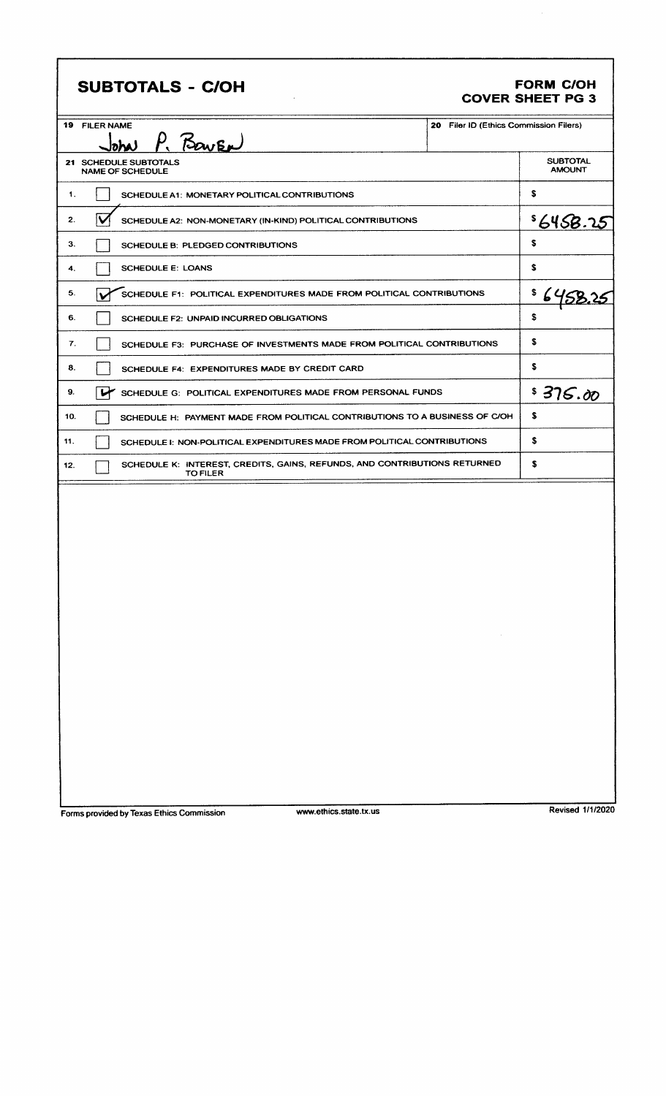|  |  |  |  |  |  |  | <b>SUBTOTALS - C/OH</b> |  |  |  |  |  |
|--|--|--|--|--|--|--|-------------------------|--|--|--|--|--|
|--|--|--|--|--|--|--|-------------------------|--|--|--|--|--|

# FORM C/OH<br>COVER SHEET PG 3

I

| <b>19 FILER NAME</b> |                                                                                              | 20 Filer ID (Ethics Commission Filers)                                                   |                                  |
|----------------------|----------------------------------------------------------------------------------------------|------------------------------------------------------------------------------------------|----------------------------------|
|                      | P. BOWEN<br>loha)                                                                            |                                                                                          |                                  |
|                      | 21 SCHEDULE SUBTOTALS<br><b>NAME OF SCHEDULE</b>                                             |                                                                                          | <b>SUBTOTAL</b><br><b>AMOUNT</b> |
| 1.                   | SCHEDULE A1: MONETARY POLITICAL CONTRIBUTIONS                                                |                                                                                          | \$                               |
| IV<br>2.             | SCHEDULE A2: NON-MONETARY (IN-KIND) POLITICAL CONTRIBUTIONS                                  |                                                                                          | \$6458.25                        |
| 3.                   | SCHEDULE B: PLEDGED CONTRIBUTIONS                                                            |                                                                                          | s                                |
| 4.                   | <b>SCHEDULE E: LOANS</b>                                                                     |                                                                                          | \$                               |
| 5.                   | SCHEDULE F1: POLITICAL EXPENDITURES MADE FROM POLITICAL CONTRIBUTIONS                        |                                                                                          | \$                               |
| 6.                   | SCHEDULE F2: UNPAID INCURRED OBLIGATIONS                                                     |                                                                                          | \$                               |
| 7.                   | SCHEDULE F3: PURCHASE OF INVESTMENTS MADE FROM POLITICAL CONTRIBUTIONS                       |                                                                                          | \$                               |
| 8.                   | SCHEDULE F4: EXPENDITURES MADE BY CREDIT CARD                                                |                                                                                          | s                                |
| 9.                   | سمسا<br>SCHEDULE G: POLITICAL EXPENDITURES MADE FROM PERSONAL FUNDS                          |                                                                                          | \$375.00                         |
| 10.                  | SCHEDULE H: PAYMENT MADE FROM POLITICAL CONTRIBUTIONS TO A BUSINESS OF C/OH                  |                                                                                          | S                                |
| 11.                  | SCHEDULE I: NON-POLITICAL EXPENDITURES MADE FROM POLITICAL CONTRIBUTIONS                     |                                                                                          | \$                               |
| 12.                  | SCHEDULE K: INTEREST, CREDITS, GAINS, REFUNDS, AND CONTRIBUTIONS RETURNED<br><b>TO FILER</b> |                                                                                          | \$                               |
|                      |                                                                                              |                                                                                          |                                  |
|                      |                                                                                              |                                                                                          |                                  |
|                      |                                                                                              |                                                                                          |                                  |
|                      |                                                                                              |                                                                                          |                                  |
|                      |                                                                                              |                                                                                          |                                  |
|                      |                                                                                              |                                                                                          |                                  |
|                      |                                                                                              |                                                                                          |                                  |
|                      |                                                                                              |                                                                                          |                                  |
|                      |                                                                                              | $\mathcal{L}(\mathcal{L})$ and $\mathcal{L}(\mathcal{L})$ and $\mathcal{L}(\mathcal{L})$ |                                  |
|                      |                                                                                              |                                                                                          |                                  |
|                      |                                                                                              |                                                                                          |                                  |
|                      |                                                                                              |                                                                                          |                                  |
|                      |                                                                                              |                                                                                          |                                  |
|                      |                                                                                              |                                                                                          |                                  |

 $\hat{A}$ 

Forms provided by Texas Ethics Commission

www.ethics.state.tx.us

Revised 1/1/2020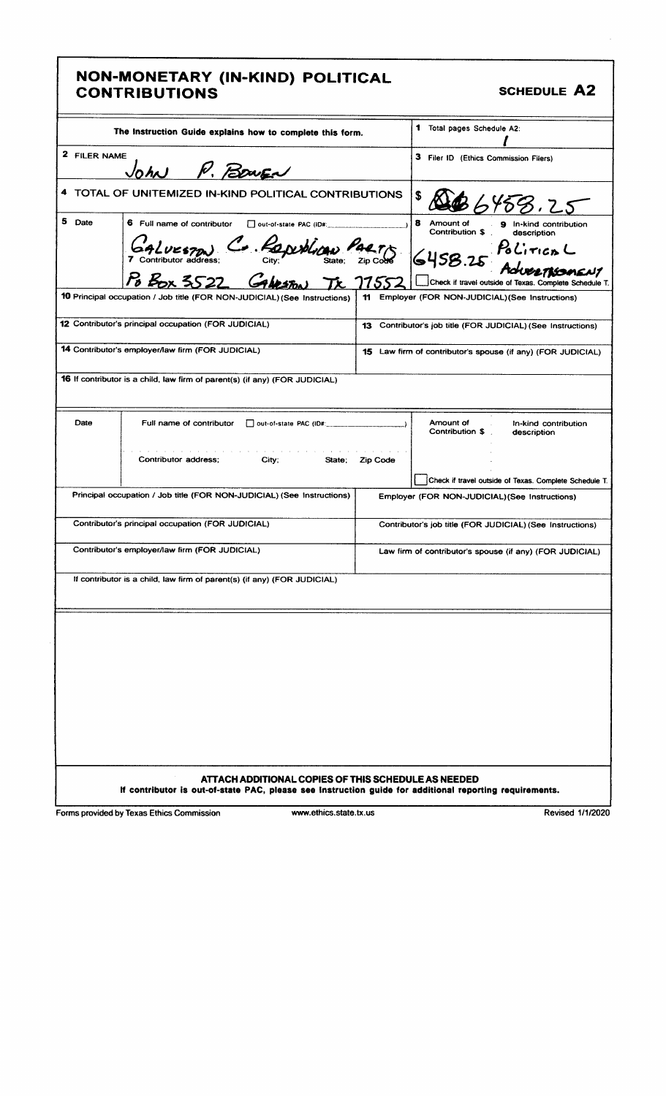### NON- MONETARY (IN- KIND) POLITICAL CONTRIBUTIONS **SCHEDULE** A2

| The Instruction Guide explains how to complete this form. |                                                                                                                                                                |                                       | 1 Total pages Schedule A2:                                                         |  |  |
|-----------------------------------------------------------|----------------------------------------------------------------------------------------------------------------------------------------------------------------|---------------------------------------|------------------------------------------------------------------------------------|--|--|
| 2 FILER NAME<br>John R. Bower                             |                                                                                                                                                                | 3 Filer ID (Ethics Commission Filers) |                                                                                    |  |  |
|                                                           | 4 TOTAL OF UNITEMIZED IN-KIND POLITICAL CONTRIBUTIONS                                                                                                          |                                       | 158.25                                                                             |  |  |
| 5 Date                                                    | 6 Full name of contributor<br>$\Box$ out-of-state PAC (ID#:                                                                                                    |                                       | 8<br>Amount of<br>9<br>In-kind contribution<br>Contribution \$<br>description      |  |  |
|                                                           | GALUESTON C. RO<br>Po Box 3522 Cabox                                                                                                                           |                                       | PoliticoL<br>Advertismer<br>Check if travel outside of Texas. Complete Schedule T. |  |  |
|                                                           | 10 Principal occupation / Job title (FOR NON-JUDICIAL) (See Instructions)                                                                                      | 11                                    | Employer (FOR NON-JUDICIAL) (See Instructions)                                     |  |  |
|                                                           | 12 Contributor's principal occupation (FOR JUDICIAL)                                                                                                           | 13                                    | Contributor's job title (FOR JUDICIAL) (See Instructions)                          |  |  |
|                                                           | 14 Contributor's employer/law firm (FOR JUDICIAL)                                                                                                              |                                       | <b>15</b> Law firm of contributor's spouse (if any) (FOR JUDICIAL)                 |  |  |
|                                                           | <b>16</b> If contributor is a child, law firm of parent(s) (if any) (FOR JUDICIAL)                                                                             |                                       |                                                                                    |  |  |
| Date                                                      | Full name of contributor<br>out-of-state PAC (ID#:                                                                                                             |                                       | Amount of<br>In-kind contribution<br>Contribution \$<br>description                |  |  |
|                                                           | Contributor address;<br>City;<br>State:                                                                                                                        | <b>Zip Code</b>                       |                                                                                    |  |  |
|                                                           |                                                                                                                                                                |                                       | Check if travel outside of Texas. Complete Schedule T.                             |  |  |
|                                                           | Principal occupation / Job title (FOR NON-JUDICIAL) (See Instructions)                                                                                         |                                       | Employer (FOR NON-JUDICIAL) (See Instructions)                                     |  |  |
|                                                           | Contributor's principal occupation (FOR JUDICIAL)                                                                                                              |                                       | Contributor's job title (FOR JUDICIAL) (See Instructions)                          |  |  |
|                                                           | Contributor's employer/law firm (FOR JUDICIAL)                                                                                                                 |                                       | Law firm of contributor's spouse (if any) (FOR JUDICIAL)                           |  |  |
|                                                           | If contributor is a child, law firm of parent(s) (if any) (FOR JUDICIAL)                                                                                       |                                       |                                                                                    |  |  |
|                                                           |                                                                                                                                                                |                                       |                                                                                    |  |  |
|                                                           |                                                                                                                                                                |                                       |                                                                                    |  |  |
|                                                           |                                                                                                                                                                |                                       |                                                                                    |  |  |
|                                                           |                                                                                                                                                                |                                       |                                                                                    |  |  |
|                                                           |                                                                                                                                                                |                                       |                                                                                    |  |  |
|                                                           |                                                                                                                                                                |                                       |                                                                                    |  |  |
|                                                           |                                                                                                                                                                |                                       |                                                                                    |  |  |
|                                                           | ATTACH ADDITIONAL COPIES OF THIS SCHEDULE AS NEEDED<br>If contributor is out-of-state PAC, please see instruction guide for additional reporting requirements. |                                       |                                                                                    |  |  |

Forms provided by Texas Ethics Commission www.ethics.state.tx.us Revised 1/1/2020